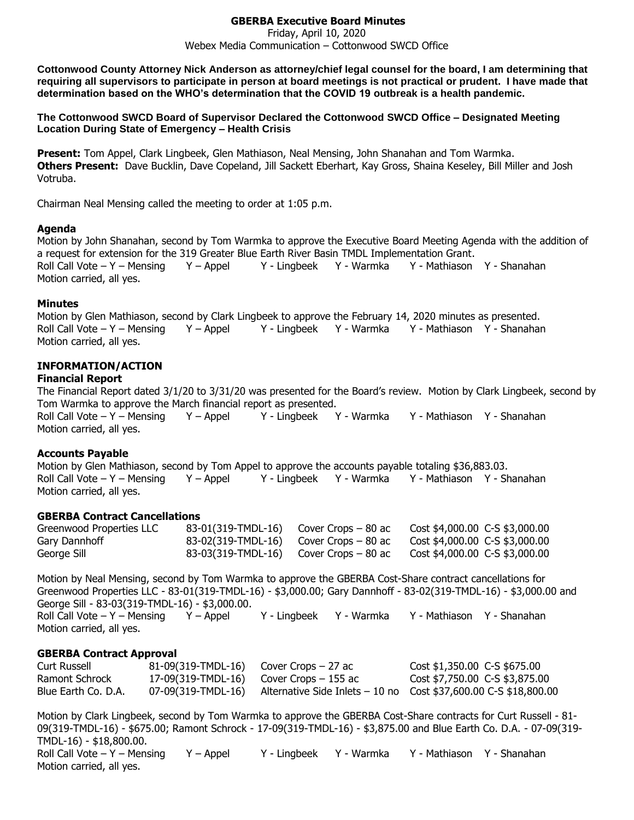# **GBERBA Executive Board Minutes**

#### Friday, April 10, 2020 Webex Media Communication – Cottonwood SWCD Office

**Cottonwood County Attorney Nick Anderson as attorney/chief legal counsel for the board, I am determining that requiring all supervisors to participate in person at board meetings is not practical or prudent. I have made that determination based on the WHO's determination that the COVID 19 outbreak is a health pandemic.**

**The Cottonwood SWCD Board of Supervisor Declared the Cottonwood SWCD Office – Designated Meeting Location During State of Emergency – Health Crisis**

**Present:** Tom Appel, Clark Lingbeek, Glen Mathiason, Neal Mensing, John Shanahan and Tom Warmka. **Others Present:** Dave Bucklin, Dave Copeland, Jill Sackett Eberhart, Kay Gross, Shaina Keseley, Bill Miller and Josh Votruba.

Chairman Neal Mensing called the meeting to order at 1:05 p.m.

#### **Agenda**

Motion by John Shanahan, second by Tom Warmka to approve the Executive Board Meeting Agenda with the addition of a request for extension for the 319 Greater Blue Earth River Basin TMDL Implementation Grant. Roll Call Vote – Y – Mensing Y – Appel Y - Lingbeek Y - Warmka Y - Mathiason Y - Shanahan Motion carried, all yes.

#### **Minutes**

Motion by Glen Mathiason, second by Clark Lingbeek to approve the February 14, 2020 minutes as presented. Roll Call Vote – Y – Mensing Y – Appel Y - Lingbeek Y - Warmka Y - Mathiason Y - Shanahan Motion carried, all yes.

# **INFORMATION/ACTION**

#### **Financial Report**

The Financial Report dated 3/1/20 to 3/31/20 was presented for the Board's review. Motion by Clark Lingbeek, second by Tom Warmka to approve the March financial report as presented. Roll Call Vote – Y – Mensing Y – Appel Y - Lingbeek Y - Warmka Y - Mathiason Y - Shanahan

Motion carried, all yes.

# **Accounts Payable**

Motion by Glen Mathiason, second by Tom Appel to approve the accounts payable totaling \$36,883.03. Roll Call Vote – Y – Mensing Y – Appel Y - Lingbeek Y - Warmka Y - Mathiason Y - Shanahan Motion carried, all yes.

#### **GBERBA Contract Cancellations**

| Greenwood Properties LLC | $83-01(319-TMDL-16)$ Cover Crops – 80 ac  | Cost \$4,000.00 C-S \$3,000.00 |
|--------------------------|-------------------------------------------|--------------------------------|
| Gary Dannhoff            | $83-02(319-TMDL-16)$ Cover Crops $-80$ ac | Cost \$4,000.00 C-S \$3,000.00 |
| George Sill              | $83-03(319-TMDL-16)$ Cover Crops $-80$ ac | Cost \$4,000.00 C-S \$3,000.00 |

Motion by Neal Mensing, second by Tom Warmka to approve the GBERBA Cost-Share contract cancellations for Greenwood Properties LLC - 83-01(319-TMDL-16) - \$3,000.00; Gary Dannhoff - 83-02(319-TMDL-16) - \$3,000.00 and George Sill - 83-03(319-TMDL-16) - \$3,000.00. Roll Call Vote – Y – Mensing Y – Appel Y - Lingbeek Y - Warmka Y - Mathiason Y - Shanahan Motion carried, all yes.

# **GBERBA Contract Approval**

| Curt Russell        | $81-09(319-TMDL-16)$ Cover Crops $-27$ ac |                                            | $Cost $1,350.00$ C-S \$675.00                                     |
|---------------------|-------------------------------------------|--------------------------------------------|-------------------------------------------------------------------|
| Ramont Schrock      |                                           | $17-09(319-TMDL-16)$ Cover Crops $-155$ ac | Cost \$7,750.00 C-S \$3,875.00                                    |
| Blue Earth Co. D.A. | 07-09(319-TMDL-16)                        |                                            | Alternative Side Inlets $-10$ no Cost \$37,600.00 C-S \$18,800.00 |

Motion by Clark Lingbeek, second by Tom Warmka to approve the GBERBA Cost-Share contracts for Curt Russell - 81- 09(319-TMDL-16) - \$675.00; Ramont Schrock - 17-09(319-TMDL-16) - \$3,875.00 and Blue Earth Co. D.A. - 07-09(319- TMDL-16) - \$18,800.00. Roll Call Vote – Y – Mensing Y – Appel Y - Lingbeek Y - Warmka Y - Mathiason Y - Shanahan Motion carried, all yes.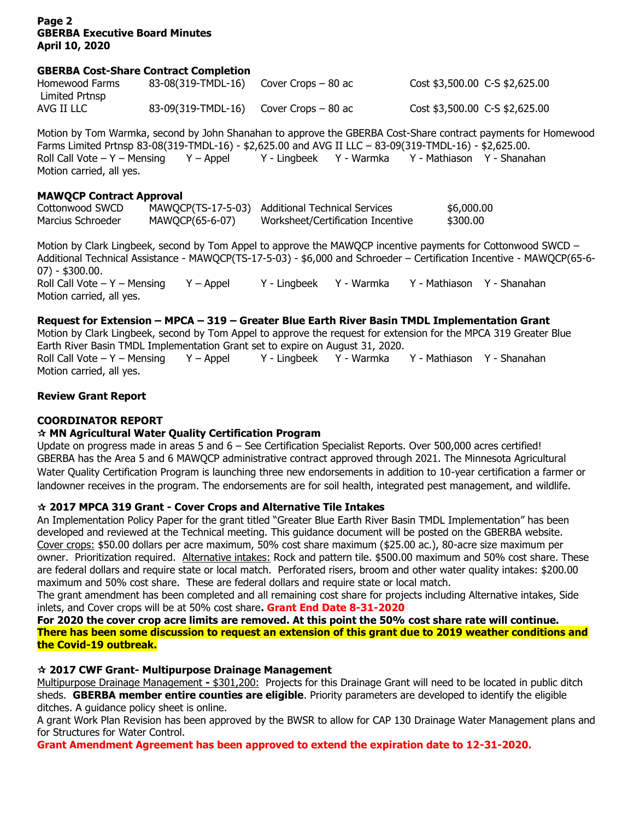# **Page 2 GBERBA Executive Board Minutes April 10, 2020**

### **GBERBA Cost-Share Contract Completion**

| Homewood Farms | 83-08(319-TMDL-16) | Cover Crops – 80 ac | Cost \$3,500.00 C-S \$2,625.00 |
|----------------|--------------------|---------------------|--------------------------------|
| Limited Prtnsp |                    |                     |                                |
| AVG II LLC     | 83-09(319-TMDL-16) | Cover Crops – 80 ac | Cost \$3,500.00 C-S \$2,625.00 |

Motion by Tom Warmka, second by John Shanahan to approve the GBERBA Cost-Share contract payments for Homewood Farms Limited Prtnsp 83-08(319-TMDL-16) - \$2,625.00 and AVG II LLC – 83-09(319-TMDL-16) - \$2,625.00. Roll Call Vote – Y – Mensing Y – Appel Y - Lingbeek Y - Warmka Y - Mathiason Y - Shanahan Motion carried, all yes.

#### **MAWQCP Contract Approval**

| Cottonwood SWCD   |                 | MAWQCP(TS-17-5-03) Additional Technical Services | \$6,000.00 |
|-------------------|-----------------|--------------------------------------------------|------------|
| Marcius Schroeder | MAWQCP(65-6-07) | Worksheet/Certification Incentive                | \$300.00   |

Motion by Clark Lingbeek, second by Tom Appel to approve the MAWOCP incentive payments for Cottonwood SWCD – Additional Technical Assistance - MAWQCP(TS-17-5-03) - \$6,000 and Schroeder – Certification Incentive - MAWQCP(65-6- 07) - \$300.00. Roll Call Vote – Y – Mensing Y – Appel Y - Lingbeek Y - Warmka Y - Mathiason Y - Shanahan Motion carried, all yes.

# **Request for Extension – MPCA – 319 – Greater Blue Earth River Basin TMDL Implementation Grant**

Motion by Clark Lingbeek, second by Tom Appel to approve the request for extension for the MPCA 319 Greater Blue Earth River Basin TMDL Implementation Grant set to expire on August 31, 2020.

Roll Call Vote – Y – Mensing Y – Appel Y - Lingbeek Y - Warmka Y - Mathiason Y - Shanahan Motion carried, all yes.

# **Review Grant Report**

# **COORDINATOR REPORT**

# **MN Agricultural Water Quality Certification Program**

Update on progress made in areas 5 and 6 – See Certification Specialist Reports. Over 500,000 acres certified! GBERBA has the Area 5 and 6 MAWQCP administrative contract approved through 2021. The Minnesota Agricultural Water Quality Certification Program is launching three new endorsements in addition to 10-year certification a farmer or landowner receives in the program. The endorsements are for soil health, integrated pest management, and wildlife.

# **2017 MPCA 319 Grant - Cover Crops and Alternative Tile Intakes**

An Implementation Policy Paper for the grant titled "Greater Blue Earth River Basin TMDL Implementation" has been developed and reviewed at the Technical meeting. This guidance document will be posted on the GBERBA website. Cover crops: \$50.00 dollars per acre maximum, 50% cost share maximum (\$25.00 ac.), 80-acre size maximum per owner. Prioritization required. Alternative intakes: Rock and pattern tile. \$500.00 maximum and 50% cost share. These are federal dollars and require state or local match. Perforated risers, broom and other water quality intakes: \$200.00 maximum and 50% cost share. These are federal dollars and require state or local match.

The grant amendment has been completed and all remaining cost share for projects including Alternative intakes, Side inlets, and Cover crops will be at 50% cost share**. Grant End Date 8-31-2020**

**For 2020 the cover crop acre limits are removed. At this point the 50% cost share rate will continue. There has been some discussion to request an extension of this grant due to 2019 weather conditions and the Covid-19 outbreak.**

# **2017 CWF Grant- Multipurpose Drainage Management**

Multipurpose Drainage Management **-** \$301,200: Projects for this Drainage Grant will need to be located in public ditch sheds. **GBERBA member entire counties are eligible**. Priority parameters are developed to identify the eligible ditches. A guidance policy sheet is online.

A grant Work Plan Revision has been approved by the BWSR to allow for CAP 130 Drainage Water Management plans and for Structures for Water Control.

**Grant Amendment Agreement has been approved to extend the expiration date to 12-31-2020.**